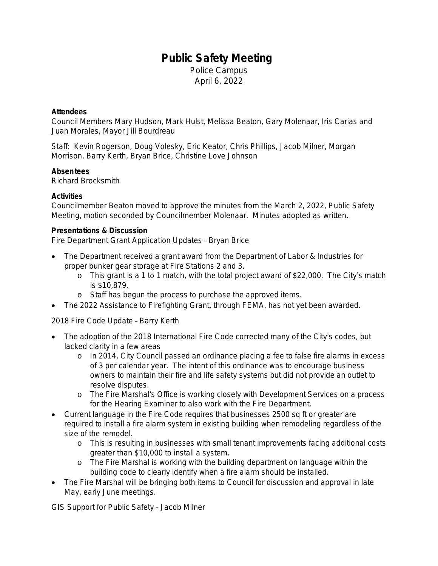# **Public Safety Meeting**

Police Campus April 6, 2022

# **Attendees**

Council Members Mary Hudson, Mark Hulst, Melissa Beaton, Gary Molenaar, Iris Carias and Juan Morales, Mayor Jill Bourdreau

Staff: Kevin Rogerson, Doug Volesky, Eric Keator, Chris Phillips, Jacob Milner, Morgan Morrison, Barry Kerth, Bryan Brice, Christine Love Johnson

# **Absentees**

Richard Brocksmith

# **Activities**

Councilmember Beaton moved to approve the minutes from the March 2, 2022, Public Safety Meeting, motion seconded by Councilmember Molenaar. Minutes adopted as written.

#### **Presentations & Discussion**

Fire Department Grant Application Updates – Bryan Brice

- The Department received a grant award from the Department of Labor & Industries for proper bunker gear storage at Fire Stations 2 and 3.
	- o This grant is a 1 to 1 match, with the total project award of \$22,000. The City's match is \$10,879.
	- o Staff has begun the process to purchase the approved items.
- The 2022 Assistance to Firefighting Grant, through FEMA, has not yet been awarded.

# 2018 Fire Code Update – Barry Kerth

- The adoption of the 2018 International Fire Code corrected many of the City's codes, but lacked clarity in a few areas
	- o In 2014, City Council passed an ordinance placing a fee to false fire alarms in excess of 3 per calendar year. The intent of this ordinance was to encourage business owners to maintain their fire and life safety systems but did not provide an outlet to resolve disputes.
	- o The Fire Marshal's Office is working closely with Development Services on a process for the Hearing Examiner to also work with the Fire Department.
- Current language in the Fire Code requires that businesses 2500 sq ft or greater are required to install a fire alarm system in existing building when remodeling regardless of the size of the remodel.
	- o This is resulting in businesses with small tenant improvements facing additional costs greater than \$10,000 to install a system.
	- o The Fire Marshal is working with the building department on language within the building code to clearly identify when a fire alarm should be installed.
- The Fire Marshal will be bringing both items to Council for discussion and approval in late May, early June meetings.

GIS Support for Public Safety – Jacob Milner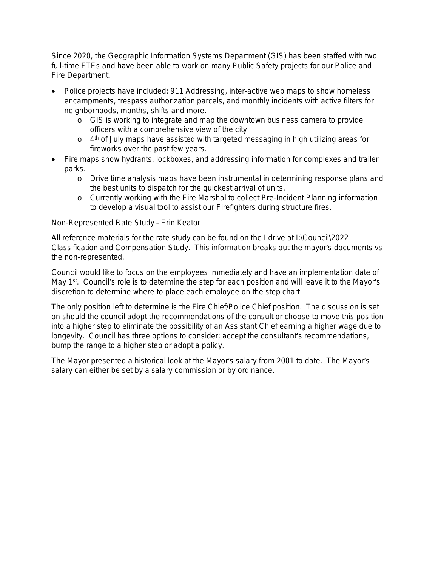Since 2020, the Geographic Information Systems Department (GIS) has been staffed with two full-time FTEs and have been able to work on many Public Safety projects for our Police and Fire Department.

- Police projects have included: 911 Addressing, inter-active web maps to show homeless encampments, trespass authorization parcels, and monthly incidents with active filters for neighborhoods, months, shifts and more.
	- o GIS is working to integrate and map the downtown business camera to provide officers with a comprehensive view of the city.
	- o 4<sup>th</sup> of July maps have assisted with targeted messaging in high utilizing areas for fireworks over the past few years.
- Fire maps show hydrants, lockboxes, and addressing information for complexes and trailer parks.
	- o Drive time analysis maps have been instrumental in determining response plans and the best units to dispatch for the quickest arrival of units.
	- o Currently working with the Fire Marshal to collect Pre-Incident Planning information to develop a visual tool to assist our Firefighters during structure fires.

# Non-Represented Rate Study – Erin Keator

All reference materials for the rate study can be found on the I drive at I:\Council\2022 Classification and Compensation Study. This information breaks out the mayor's documents vs the non-represented.

Council would like to focus on the employees immediately and have an implementation date of May 1<sup>st</sup>. Council's role is to determine the step for each position and will leave it to the Mayor's discretion to determine where to place each employee on the step chart.

The only position left to determine is the Fire Chief/Police Chief position. The discussion is set on should the council adopt the recommendations of the consult or choose to move this position into a higher step to eliminate the possibility of an Assistant Chief earning a higher wage due to longevity. Council has three options to consider; accept the consultant's recommendations, bump the range to a higher step or adopt a policy.

The Mayor presented a historical look at the Mayor's salary from 2001 to date. The Mayor's salary can either be set by a salary commission or by ordinance.